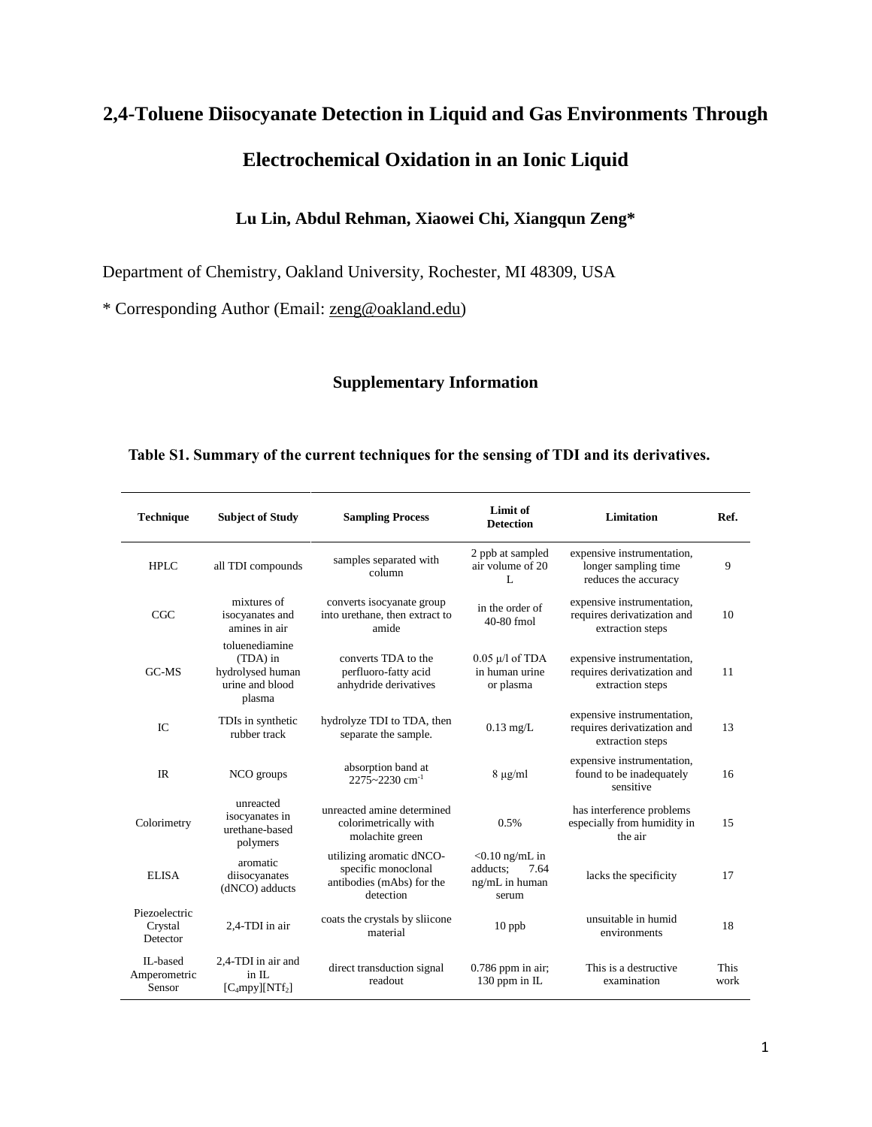# **2,4-Toluene Diisocyanate Detection in Liquid and Gas Environments Through Electrochemical Oxidation in an Ionic Liquid**

## **Lu Lin, Abdul Rehman, Xiaowei Chi, Xiangqun Zeng\***

Department of Chemistry, Oakland University, Rochester, MI 48309, USA

\* Corresponding Author (Email: [zeng@oakland.edu\)](mailto:zeng@oakland.edu)

### **Supplementary Information**

#### **Table S1. Summary of the current techniques for the sensing of TDI and its derivatives.**

| <b>Technique</b>                     | <b>Subject of Study</b>                                                     | <b>Sampling Process</b>                                                                   | Limit of<br><b>Detection</b>                                     | Limitation                                                                    | Ref.         |
|--------------------------------------|-----------------------------------------------------------------------------|-------------------------------------------------------------------------------------------|------------------------------------------------------------------|-------------------------------------------------------------------------------|--------------|
| HPLC                                 | all TDI compounds                                                           | samples separated with<br>column                                                          | 2 ppb at sampled<br>air volume of 20<br>L                        | expensive instrumentation,<br>longer sampling time<br>reduces the accuracy    | 9            |
| CGC                                  | mixtures of<br>isocyanates and<br>amines in air                             | converts isocyanate group<br>into urethane, then extract to<br>amide                      | in the order of<br>40-80 fmol                                    | expensive instrumentation,<br>requires derivatization and<br>extraction steps | 10           |
| $G$ C-MS                             | toluenediamine<br>(TDA) in<br>hydrolysed human<br>urine and blood<br>plasma | converts TDA to the<br>perfluoro-fatty acid<br>anhydride derivatives                      | $0.05 \mu/l$ of TDA<br>in human urine<br>or plasma               | expensive instrumentation,<br>requires derivatization and<br>extraction steps | 11           |
| IC                                   | TDIs in synthetic<br>rubber track                                           | hydrolyze TDI to TDA, then<br>separate the sample.                                        | $0.13$ mg/L                                                      | expensive instrumentation,<br>requires derivatization and<br>extraction steps | 13           |
| IR                                   | NCO groups                                                                  | absorption band at<br>$2275 - 2230$ cm <sup>-1</sup>                                      | $8 \mu g/ml$                                                     | expensive instrumentation,<br>found to be inadequately<br>sensitive           | 16           |
| Colorimetry                          | unreacted<br>isocyanates in<br>urethane-based<br>polymers                   | unreacted amine determined<br>colorimetrically with<br>molachite green                    | 0.5%                                                             | has interference problems<br>especially from humidity in<br>the air           | 15           |
| <b>ELISA</b>                         | aromatic<br>diisocyanates<br>(dNCO) adducts                                 | utilizing aromatic dNCO-<br>specific monoclonal<br>antibodies (mAbs) for the<br>detection | $< 0.10$ ng/mL in<br>adducts:<br>7.64<br>ng/mL in human<br>serum | lacks the specificity                                                         | 17           |
| Piezoelectric<br>Crystal<br>Detector | 2,4-TDI in air                                                              | coats the crystals by sliicone<br>material                                                | $10$ ppb                                                         | unsuitable in humid<br>environments                                           | 18           |
| II.-based<br>Amperometric<br>Sensor  | 2.4-TDI in air and<br>in IL<br>$[C_4mpy][NTf_2]$                            | direct transduction signal<br>readout                                                     | $0.786$ ppm in air;<br>130 ppm in IL                             | This is a destructive<br>examination                                          | This<br>work |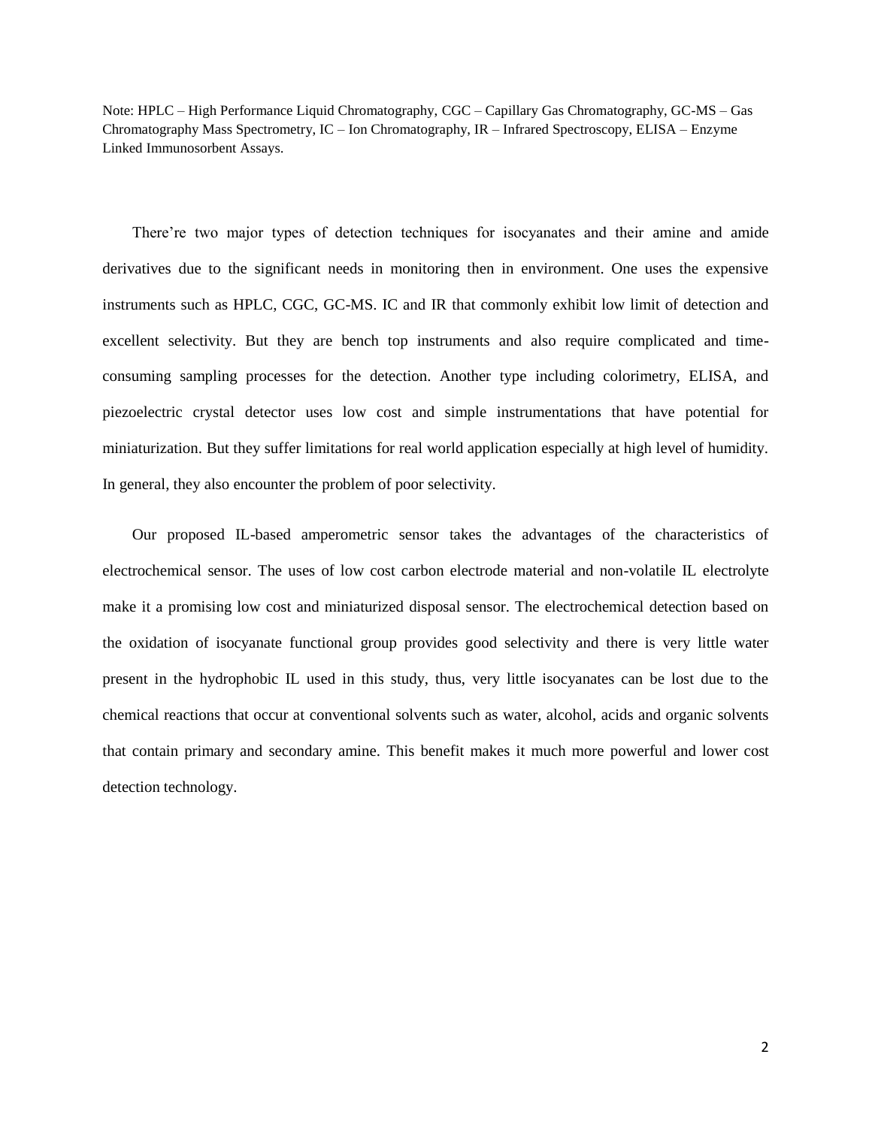Note: HPLC – High Performance Liquid Chromatography, CGC – Capillary Gas Chromatography, GC-MS – Gas Chromatography Mass Spectrometry, IC – Ion Chromatography, IR – Infrared Spectroscopy, ELISA – Enzyme Linked Immunosorbent Assays.

There're two major types of detection techniques for isocyanates and their amine and amide derivatives due to the significant needs in monitoring then in environment. One uses the expensive instruments such as HPLC, CGC, GC-MS. IC and IR that commonly exhibit low limit of detection and excellent selectivity. But they are bench top instruments and also require complicated and timeconsuming sampling processes for the detection. Another type including colorimetry, ELISA, and piezoelectric crystal detector uses low cost and simple instrumentations that have potential for miniaturization. But they suffer limitations for real world application especially at high level of humidity. In general, they also encounter the problem of poor selectivity.

Our proposed IL-based amperometric sensor takes the advantages of the characteristics of electrochemical sensor. The uses of low cost carbon electrode material and non-volatile IL electrolyte make it a promising low cost and miniaturized disposal sensor. The electrochemical detection based on the oxidation of isocyanate functional group provides good selectivity and there is very little water present in the hydrophobic IL used in this study, thus, very little isocyanates can be lost due to the chemical reactions that occur at conventional solvents such as water, alcohol, acids and organic solvents that contain primary and secondary amine. This benefit makes it much more powerful and lower cost detection technology.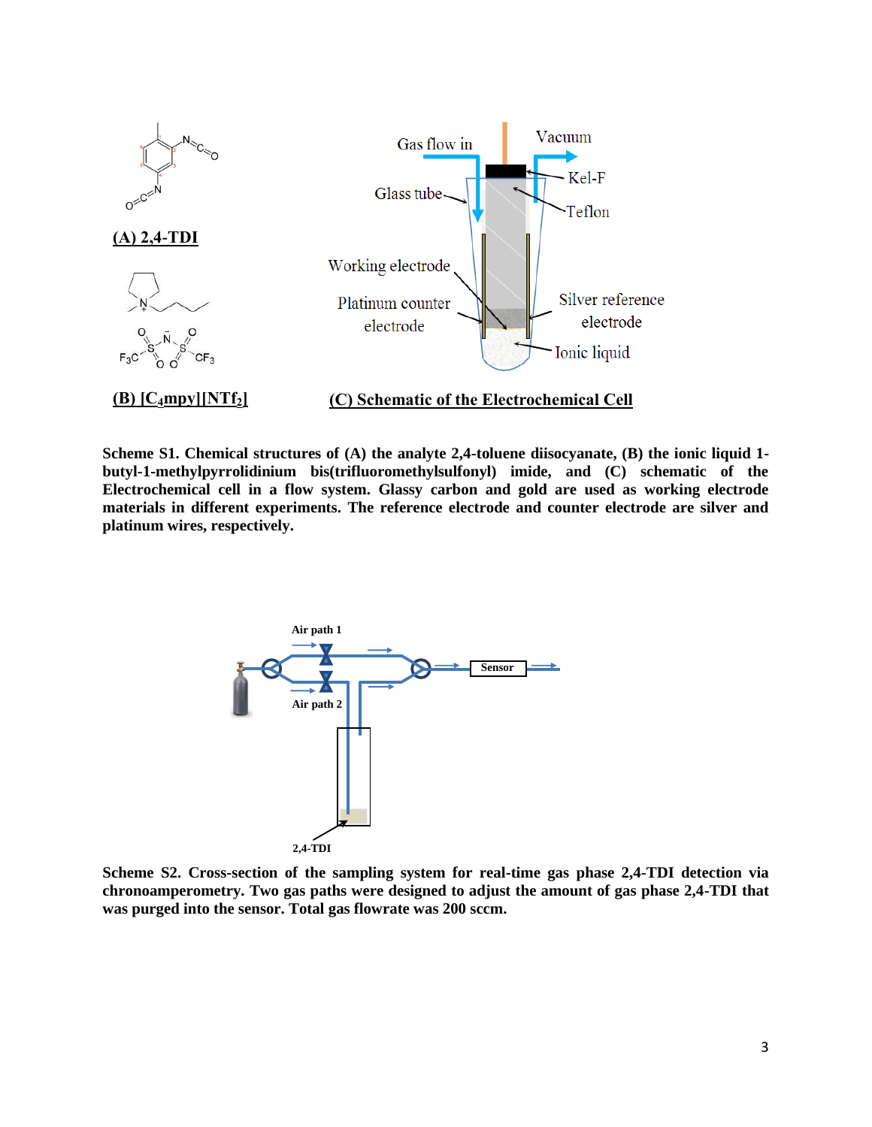

**Scheme S1. Chemical structures of (A) the analyte 2,4-toluene diisocyanate, (B) the ionic liquid 1 butyl-1-methylpyrrolidinium bis(trifluoromethylsulfonyl) imide, and (C) schematic of the Electrochemical cell in a flow system. Glassy carbon and gold are used as working electrode materials in different experiments. The reference electrode and counter electrode are silver and platinum wires, respectively.**



**Scheme S2. Cross-section of the sampling system for real-time gas phase 2,4-TDI detection via chronoamperometry. Two gas paths were designed to adjust the amount of gas phase 2,4-TDI that was purged into the sensor. Total gas flowrate was 200 sccm.**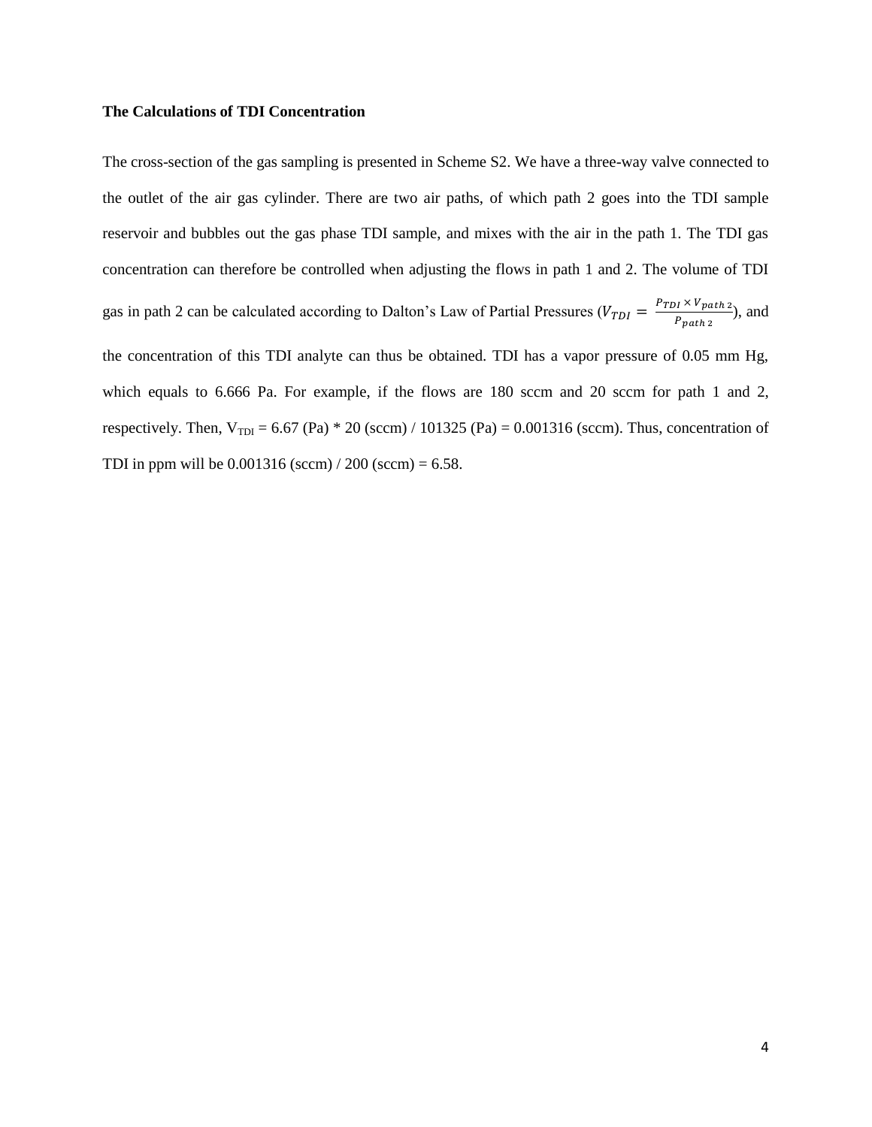#### **The Calculations of TDI Concentration**

The cross-section of the gas sampling is presented in Scheme S2. We have a three-way valve connected to the outlet of the air gas cylinder. There are two air paths, of which path 2 goes into the TDI sample reservoir and bubbles out the gas phase TDI sample, and mixes with the air in the path 1. The TDI gas concentration can therefore be controlled when adjusting the flows in path 1 and 2. The volume of TDI gas in path 2 can be calculated according to Dalton's Law of Partial Pressures ( $V_{TDI} = \frac{P_{TDI} \times V_{path2}}{P_{P}}$  $\frac{p_1 \wedge v_{path 2}}{p_{path 2}}$ , and the concentration of this TDI analyte can thus be obtained. TDI has a vapor pressure of 0.05 mm Hg, which equals to 6.666 Pa. For example, if the flows are 180 sccm and 20 sccm for path 1 and 2, respectively. Then,  $V_{TDI} = 6.67$  (Pa)  $*$  20 (sccm) / 101325 (Pa) = 0.001316 (sccm). Thus, concentration of TDI in ppm will be  $0.001316$  (sccm)  $/ 200$  (sccm) = 6.58.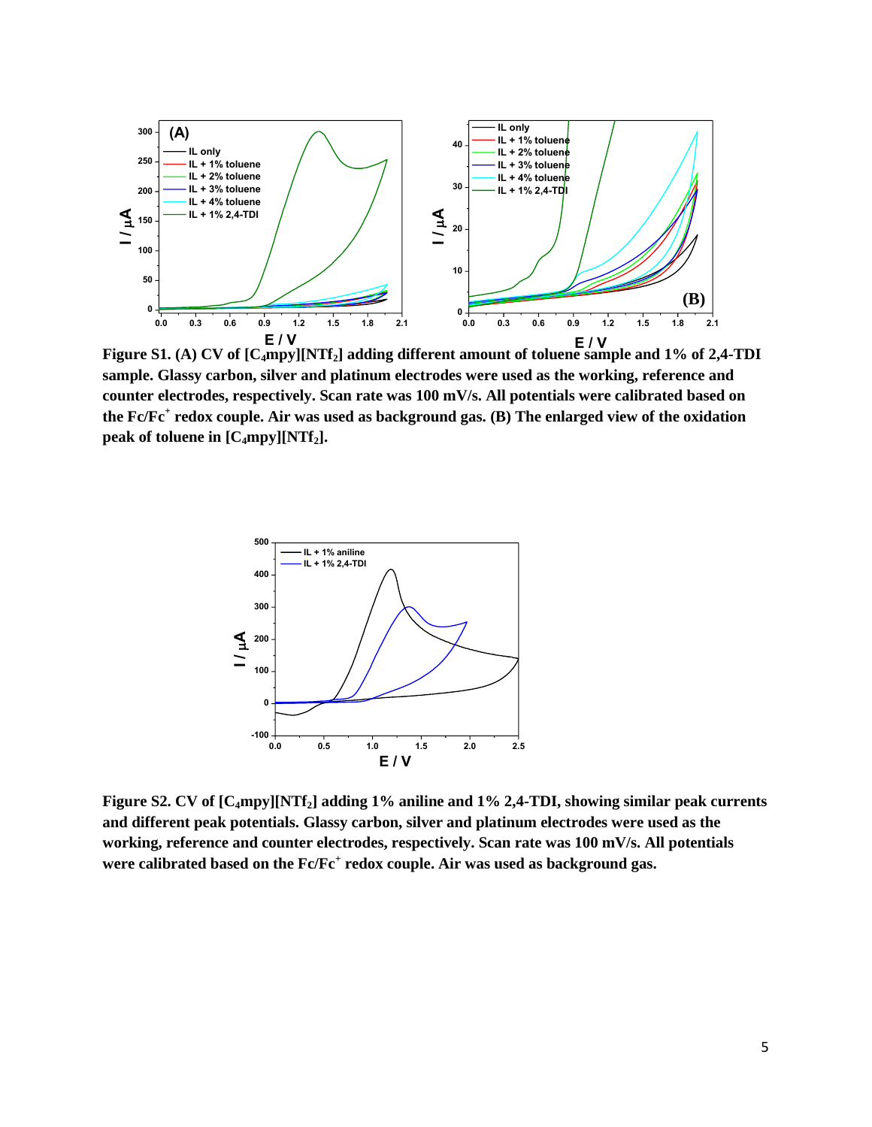

**Figure S1. (A) CV of [C4mpy][NTf2] adding different amount of toluene sample and 1% of 2,4-TDI E / V E / V sample. Glassy carbon, silver and platinum electrodes were used as the working, reference and counter electrodes, respectively. Scan rate was 100 mV/s. All potentials were calibrated based on the Fc/Fc<sup>+</sup> redox couple. Air was used as background gas. (B) The enlarged view of the oxidation peak of toluene in [C4mpy][NTf2].**



**Figure S2. CV of [C4mpy][NTf2] adding 1% aniline and 1% 2,4-TDI, showing similar peak currents and different peak potentials. Glassy carbon, silver and platinum electrodes were used as the working, reference and counter electrodes, respectively. Scan rate was 100 mV/s. All potentials were calibrated based on the Fc/Fc<sup>+</sup> redox couple. Air was used as background gas.**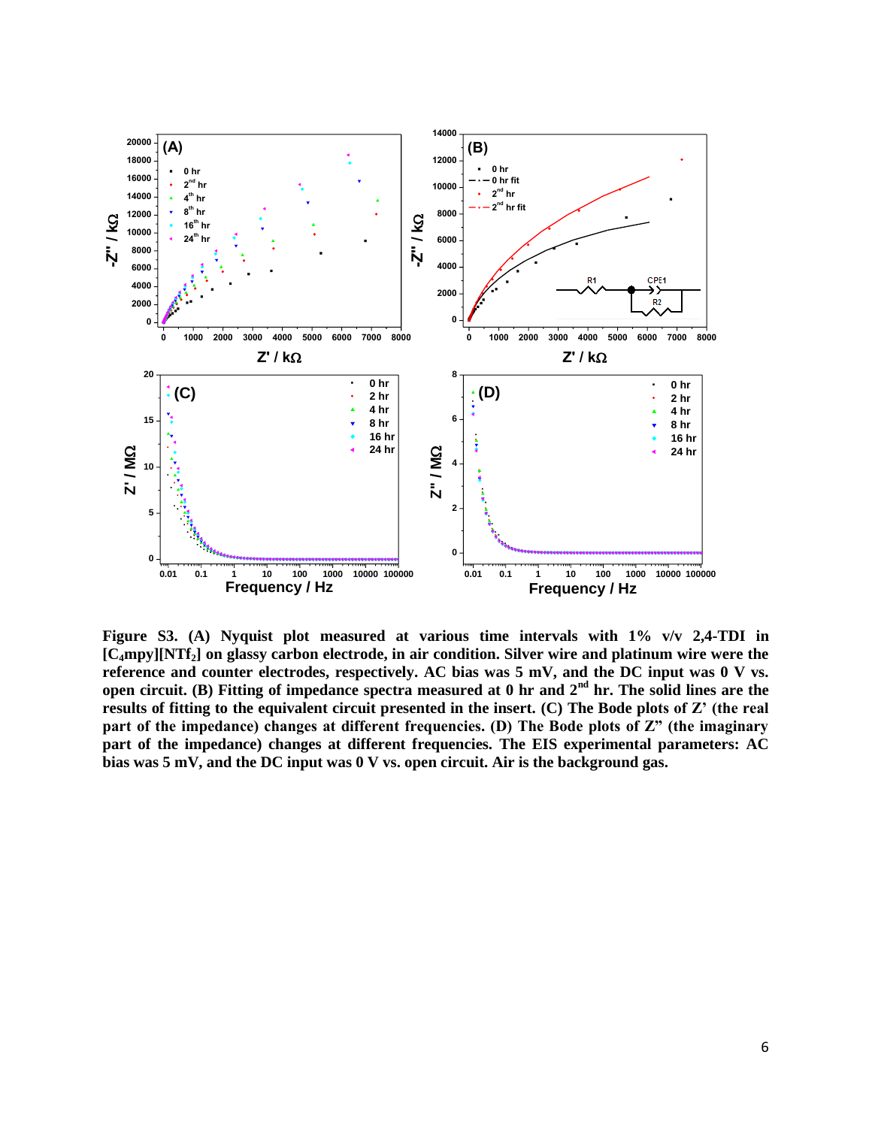

**Figure S3. (A) Nyquist plot measured at various time intervals with 1% v/v 2,4-TDI in [C4mpy][NTf2] on glassy carbon electrode, in air condition. Silver wire and platinum wire were the reference and counter electrodes, respectively. AC bias was 5 mV, and the DC input was 0 V vs. open circuit. (B) Fitting of impedance spectra measured at 0 hr and 2nd hr. The solid lines are the results of fitting to the equivalent circuit presented in the insert. (C) The Bode plots of Z' (the real part of the impedance) changes at different frequencies. (D) The Bode plots of Z" (the imaginary part of the impedance) changes at different frequencies. The EIS experimental parameters: AC bias was 5 mV, and the DC input was 0 V vs. open circuit. Air is the background gas.**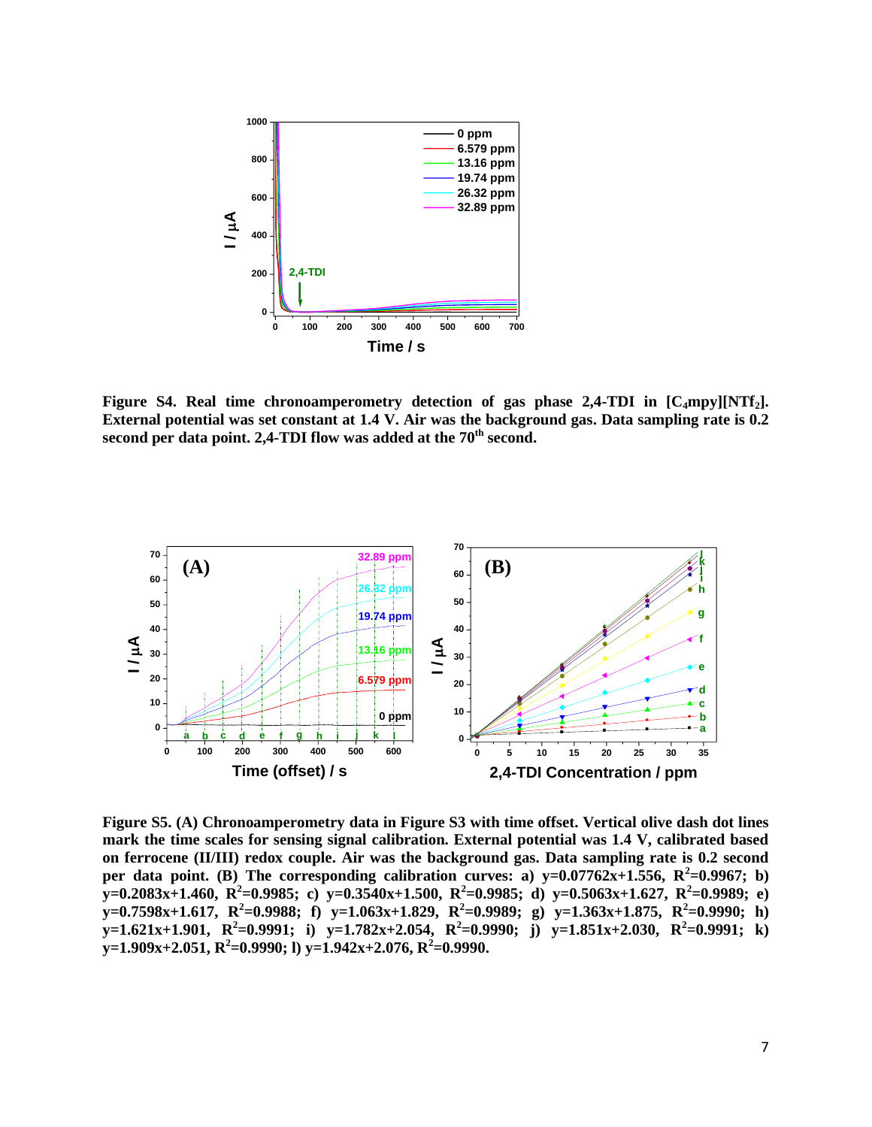

**Figure S4. Real time chronoamperometry detection of gas phase 2,4-TDI in [C4mpy][NTf2]. External potential was set constant at 1.4 V. Air was the background gas. Data sampling rate is 0.2**  second per data point. 2,4-TDI flow was added at the 70<sup>th</sup> second.



**Figure S5. (A) Chronoamperometry data in Figure S3 with time offset. Vertical olive dash dot lines mark the time scales for sensing signal calibration. External potential was 1.4 V, calibrated based on ferrocene (II/III) redox couple. Air was the background gas. Data sampling rate is 0.2 second**  per data point. (B) The corresponding calibration curves: a)  $y=0.07762x+1.556$ ,  $R^2=0.9967$ ; b)  $\overline{X}$  =0.2083x+1.460, R<sup>2</sup>=0.9985; c)  $\overline{Y}$  =0.3540x+1.500, R<sup>2</sup>=0.9985; d)  $\overline{Y}$  =0.5063x+1.627, R<sup>2</sup>=0.9989; e)  $\mathbf{y} = 0.7598\mathbf{x} + 1.617$ ,  $\mathbf{R}^2 = 0.9988$ ; f)  $\mathbf{y} = 1.063\mathbf{x} + 1.829$ ,  $\mathbf{R}^2 = 0.9989$ ; g)  $\mathbf{y} = 1.363\mathbf{x} + 1.875$ ,  $\mathbf{R}^2 = 0.9990$ ; h) **y**=1.621x+1.901,  $R^2$ =0.9991; i) **y**=1.782x+2.054,  $R^2$ =0.9990; j) **y**=1.851x+2.030,  $R^2$ =0.9991; k) **y=1.909x+2.051, R<sup>2</sup> =0.9990; l) y=1.942x+2.076, R<sup>2</sup> =0.9990.**